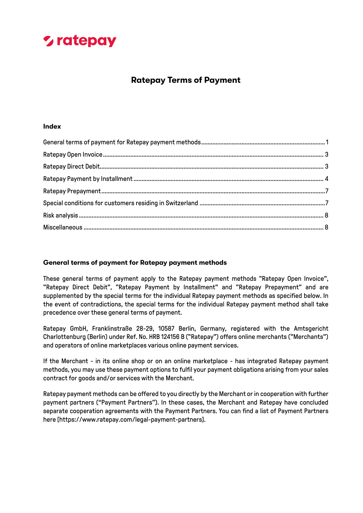### **Ratepay Terms of Payment**

#### **Index**

#### <span id="page-0-0"></span>**General terms of payment for Ratepay payment methods**

These general terms of payment apply to the Ratepay payment methods "Ratepay Open Invoice", "Ratepay Direct Debit", "Ratepay Payment by Installment" and "Ratepay Prepayment" and are supplemented by the special terms for the individual Ratepay payment methods as specified below. In the event of contradictions, the special terms for the individual Ratepay payment method shall take precedence over these general terms of payment.

Ratepay GmbH, Franklinstraße 28-29, 10587 Berlin, Germany, registered with the Amtsgericht Charlottenburg (Berlin) under Ref. No. HRB 124156 B ("Ratepay") offers online merchants ("Merchants") and operators of online marketplaces various online payment services.

If the Merchant - in its online shop or on an online marketplace - has integrated Ratepay payment methods, you may use these payment options to fulfil your payment obligations arising from your sales contract for goods and/or services with the Merchant.

Ratepay payment methods can be offered to you directly by the Merchant or in cooperation with further payment partners ("Payment Partners"). In these cases, the Merchant and Ratepay have concluded separate cooperation agreements with the Payment Partners. You can find a list of Payment Partners here [https://www.ratepay.com/legal-payment-partners].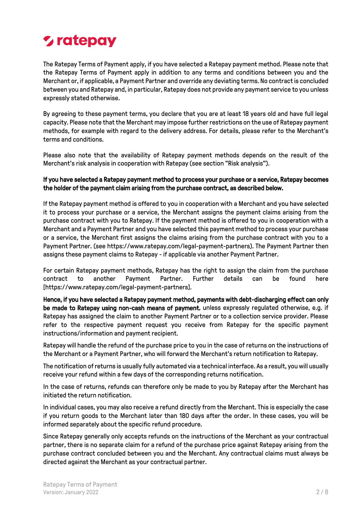The Ratepay Terms of Payment apply, if you have selected a Ratepay payment method. Please note that the Ratepay Terms of Payment apply in addition to any terms and conditions between you and the Merchant or, if applicable, a Payment Partner and override any deviating terms. No contract is concluded between you and Ratepay and, in particular, Ratepay does not provide any payment service to you unless expressly stated otherwise.

By agreeing to these payment terms, you declare that you are at least 18 years old and have full legal capacity. Please note that the Merchant may impose further restrictions on the use of Ratepay payment methods, for example with regard to the delivery address. For details, please refer to the Merchant's terms and conditions.

Please also note that the availability of Ratepay payment methods depends on the result of the Merchant's risk analysis in cooperation with Ratepay (see section "Risk analysis").

#### If you have selected a Ratepay payment method to process your purchase or a service, Ratepay becomes the holder of the payment claim arising from the purchase contract, as described below.

If the Ratepay payment method is offered to you in cooperation with a Merchant and you have selected it to process your purchase or a service, the Merchant assigns the payment claims arising from the purchase contract with you to Ratepay. If the payment method is offered to you in cooperation with a Merchant and a Payment Partner and you have selected this payment method to process your purchase or a service, the Merchant first assigns the claims arising from the purchase contract with you to a Payment Partner. (see https://www.ratepay.com/legal-payment-partners). The Payment Partner then assigns these payment claims to Ratepay - if applicable via another Payment Partner.

For certain Ratepay payment methods, Ratepay has the right to assign the claim from the purchase contract to another Payment Partner. Further details can be found here [https://www.ratepay.com/legal-payment-partners].

Hence, if you have selected a Ratepay payment method, payments with debt-discharging effect can only be made to Ratepay using non-cash means of payment, unless expressly regulated otherwise, e.g. if Ratepay has assigned the claim to another Payment Partner or to a collection service provider. Please refer to the respective payment request you receive from Ratepay for the specific payment instructions/information and payment recipient.

Ratepay will handle the refund of the purchase price to you in the case of returns on the instructions of the Merchant or a Payment Partner, who will forward the Merchant's return notification to Ratepay.

The notification of returns is usually fully automated via a technical interface. As a result, you will usually receive your refund within a few days of the corresponding returns notification.

In the case of returns, refunds can therefore only be made to you by Ratepay after the Merchant has initiated the return notification.

In individual cases, you may also receive a refund directly from the Merchant. This is especially the case if you return goods to the Merchant later than 180 days after the order. In these cases, you will be informed separately about the specific refund procedure.

Since Ratepay generally only accepts refunds on the instructions of the Merchant as your contractual partner, there is no separate claim for a refund of the purchase price against Ratepay arising from the purchase contract concluded between you and the Merchant. Any contractual claims must always be directed against the Merchant as your contractual partner.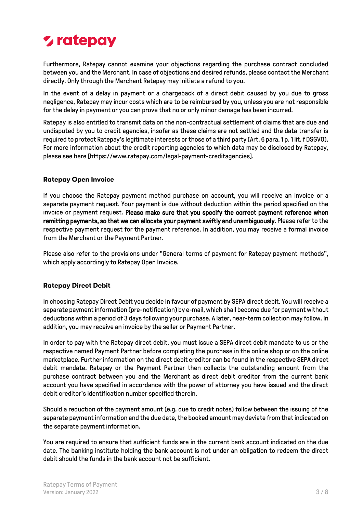Furthermore, Ratepay cannot examine your objections regarding the purchase contract concluded between you and the Merchant. In case of objections and desired refunds, please contact the Merchant directly. Only through the Merchant Ratepay may initiate a refund to you.

In the event of a delay in payment or a chargeback of a direct debit caused by you due to gross negligence, Ratepay may incur costs which are to be reimbursed by you, unless you are not responsible for the delay in payment or you can prove that no or only minor damage has been incurred.

Ratepay is also entitled to transmit data on the non-contractual settlement of claims that are due and undisputed by you to credit agencies, insofar as these claims are not settled and the data transfer is required to protect Ratepay's legitimate interests or those of a third party (Art. 6 para. 1 p. 1 lit. f DSGVO). For more information about the credit reporting agencies to which data may be disclosed by Ratepay, please see here [https://www.ratepay.com/legal-payment-creditagencies].

#### <span id="page-2-0"></span>**Ratepay Open Invoice**

If you choose the Ratepay payment method purchase on account, you will receive an invoice or a separate payment request. Your payment is due without deduction within the period specified on the invoice or payment request. Please make sure that you specify the correct payment reference when remitting payments, so that we can allocate your payment swiftly and unambiguously. Please refer to the respective payment request for the payment reference. In addition, you may receive a formal invoice from the Merchant or the Payment Partner.

Please also refer to the provisions under "General terms of payment for Ratepay payment methods", which apply accordingly to Ratepay Open Invoice.

#### <span id="page-2-1"></span>**Ratepay Direct Debit**

In choosing Ratepay Direct Debit you decide in favour of payment by SEPA direct debit. You will receive a separate payment information (pre-notification) by e-mail, which shall become due for payment without deductions within a period of 3 days following your purchase. A later, near-term collection may follow. In addition, you may receive an invoice by the seller or Payment Partner.

In order to pay with the Ratepay direct debit, you must issue a SEPA direct debit mandate to us or the respective named Payment Partner before completing the purchase in the online shop or on the online marketplace. Further information on the direct debit creditor can be found in the respective SEPA direct debit mandate. Ratepay or the Payment Partner then collects the outstanding amount from the purchase contract between you and the Merchant as direct debit creditor from the current bank account you have specified in accordance with the power of attorney you have issued and the direct debit creditor's identification number specified therein.

Should a reduction of the payment amount (e.g. due to credit notes) follow between the issuing of the separate payment information and the due date, the booked amount may deviate from that indicated on the separate payment information.

You are required to ensure that sufficient funds are in the current bank account indicated on the due date. The banking institute holding the bank account is not under an obligation to redeem the direct debit should the funds in the bank account not be sufficient.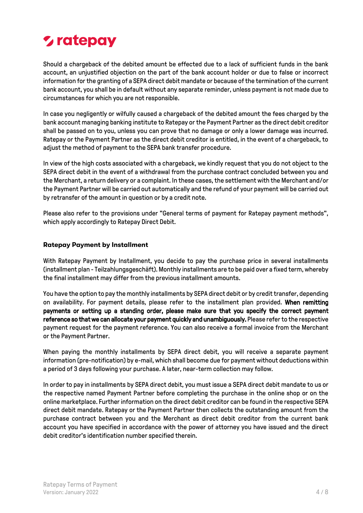# *L* ratepay

Should a chargeback of the debited amount be effected due to a lack of sufficient funds in the bank account, an unjustified objection on the part of the bank account holder or due to false or incorrect information for the granting of a SEPA direct debit mandate or because of the termination of the current bank account, you shall be in default without any separate reminder, unless payment is not made due to circumstances for which you are not responsible.

In case you negligently or wilfully caused a chargeback of the debited amount the fees charged by the bank account managing banking institute to Ratepay or the Payment Partner as the direct debit creditor shall be passed on to you, unless you can prove that no damage or only a lower damage was incurred. Ratepay or the Payment Partner as the direct debit creditor is entitled, in the event of a chargeback, to adjust the method of payment to the SEPA bank transfer procedure.

In view of the high costs associated with a chargeback, we kindly request that you do not object to the SEPA direct debit in the event of a withdrawal from the purchase contract concluded between you and the Merchant, a return delivery or a complaint. In these cases, the settlement with the Merchant and/or the Payment Partner will be carried out automatically and the refund of your payment will be carried out by retransfer of the amount in question or by a credit note.

Please also refer to the provisions under "General terms of payment for Ratepay payment methods", which apply accordingly to Ratepay Direct Debit.

#### <span id="page-3-0"></span>**Ratepay Payment by Installment**

With Ratepay Payment by Installment, you decide to pay the purchase price in several installments (installment plan - Teilzahlungsgeschäft). Monthly installments are to be paid over a fixed term, whereby the final installment may differ from the previous installment amounts.

You have the option to pay the monthly installments by SEPA direct debit or by credit transfer, depending on availability. For payment details, please refer to the installment plan provided. When remitting payments or setting up a standing order, please make sure that you specify the correct payment reference so that we can allocate your payment quickly and unambiguously. Please refer to the respective payment request for the payment reference. You can also receive a formal invoice from the Merchant or the Payment Partner.

When paying the monthly installments by SEPA direct debit, you will receive a separate payment information (pre-notification) by e-mail, which shall become due for payment without deductions within a period of 3 days following your purchase. A later, near-term collection may follow.

In order to pay in installments by SEPA direct debit, you must issue a SEPA direct debit mandate to us or the respective named Payment Partner before completing the purchase in the online shop or on the online marketplace. Further information on the direct debit creditor can be found in the respective SEPA direct debit mandate. Ratepay or the Payment Partner then collects the outstanding amount from the purchase contract between you and the Merchant as direct debit creditor from the current bank account you have specified in accordance with the power of attorney you have issued and the direct debit creditor's identification number specified therein.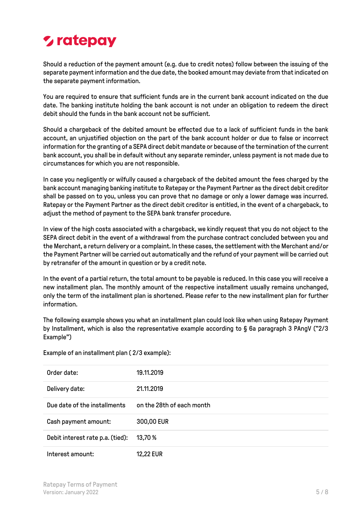# *L* ratepay

Should a reduction of the payment amount (e.g. due to credit notes) follow between the issuing of the separate payment information and the due date, the booked amount may deviate from that indicated on the separate payment information.

You are required to ensure that sufficient funds are in the current bank account indicated on the due date. The banking institute holding the bank account is not under an obligation to redeem the direct debit should the funds in the bank account not be sufficient.

Should a chargeback of the debited amount be effected due to a lack of sufficient funds in the bank account, an unjustified objection on the part of the bank account holder or due to false or incorrect information for the granting of a SEPA direct debit mandate or because of the termination of the current bank account, you shall be in default without any separate reminder, unless payment is not made due to circumstances for which you are not responsible.

In case you negligently or wilfully caused a chargeback of the debited amount the fees charged by the bank account managing banking institute to Ratepay or the Payment Partner as the direct debit creditor shall be passed on to you, unless you can prove that no damage or only a lower damage was incurred. Ratepay or the Payment Partner as the direct debit creditor is entitled, in the event of a chargeback, to adjust the method of payment to the SEPA bank transfer procedure.

In view of the high costs associated with a chargeback, we kindly request that you do not object to the SEPA direct debit in the event of a withdrawal from the purchase contract concluded between you and the Merchant, a return delivery or a complaint. In these cases, the settlement with the Merchant and/or the Payment Partner will be carried out automatically and the refund of your payment will be carried out by retransfer of the amount in question or by a credit note.

In the event of a partial return, the total amount to be payable is reduced. In this case you will receive a new installment plan. The monthly amount of the respective installment usually remains unchanged, only the term of the installment plan is shortened. Please refer to the new installment plan for further information.

The following example shows you what an installment plan could look like when using Ratepay Payment by Installment, which is also the representative example according to § 6a paragraph 3 PAngV ("2/3 Example")

Example of an installment plan ( 2/3 example):

| Order date:                      | 19.11.2019                |
|----------------------------------|---------------------------|
| Delivery date:                   | 21.11.2019                |
| Due date of the installments     | on the 28th of each month |
| Cash payment amount:             | 300,00 EUR                |
| Debit interest rate p.a. (tied): | 13,70 %                   |
| Interest amount:                 | <b>12,22 EUR</b>          |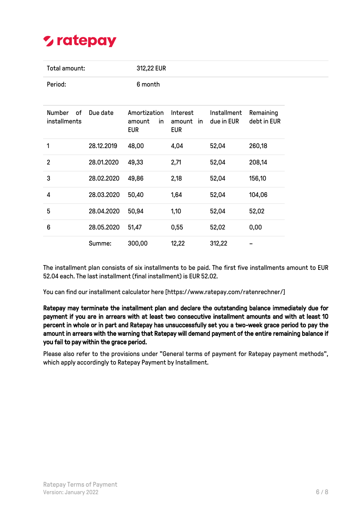

| Total amount:                       |            | 312,22 EUR                                  |                                     |                           |                          |
|-------------------------------------|------------|---------------------------------------------|-------------------------------------|---------------------------|--------------------------|
| Period:                             |            | 6 month                                     |                                     |                           |                          |
| <b>Number</b><br>of<br>installments | Due date   | Amortization<br>amount<br>in.<br><b>EUR</b> | Interest<br>amount in<br><b>EUR</b> | Installment<br>due in EUR | Remaining<br>debt in EUR |
| 1                                   | 28.12.2019 | 48,00                                       | 4,04                                | 52,04                     | 260,18                   |
| $\overline{2}$                      | 28.01.2020 | 49,33                                       | 2,71                                | 52,04                     | 208,14                   |
| 3                                   | 28.02.2020 | 49,86                                       | 2,18                                | 52,04                     | 156,10                   |
| 4                                   | 28.03.2020 | 50,40                                       | 1,64                                | 52,04                     | 104,06                   |
| 5                                   | 28.04.2020 | 50,94                                       | 1,10                                | 52,04                     | 52,02                    |
| 6                                   | 28.05.2020 | 51,47                                       | 0,55                                | 52,02                     | 0,00                     |
|                                     | Summe:     | 300,00                                      | 12,22                               | 312,22                    |                          |

The installment plan consists of six installments to be paid. The first five installments amount to EUR 52.04 each. The last installment (final installment) is EUR 52.02.

You can find our installment calculator here [https://www.ratepay.com/ratenrechner/]

Ratepay may terminate the installment plan and declare the outstanding balance immediately due for payment if you are in arrears with at least two consecutive installment amounts and with at least 10 percent in whole or in part and Ratepay has unsuccessfully set you a two-week grace period to pay the amount in arrears with the warning that Ratepay will demand payment of the entire remaining balance if you fail to pay within the grace period.

Please also refer to the provisions under "General terms of payment for Ratepay payment methods", which apply accordingly to Ratepay Payment by Installment.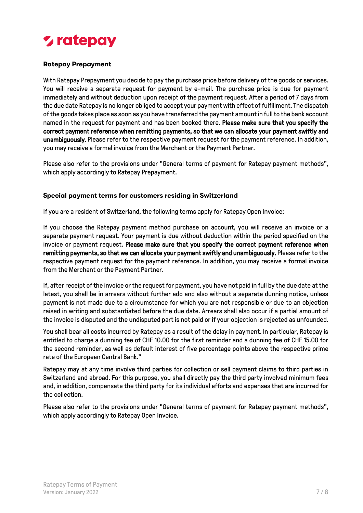#### <span id="page-6-0"></span>**Ratepay Prepayment**

With Ratepay Prepayment you decide to pay the purchase price before delivery of the goods or services. You will receive a separate request for payment by e-mail. The purchase price is due for payment immediately and without deduction upon receipt of the payment request. After a period of 7 days from the due date Ratepay is no longer obliged to accept your payment with effect of fulfillment. The dispatch of the goods takes place as soon as you have transferred the payment amount in full to the bank account named in the request for payment and has been booked there. Please make sure that you specify the correct payment reference when remitting payments, so that we can allocate your payment swiftly and unambiguously. Please refer to the respective payment request for the payment reference. In addition, you may receive a formal invoice from the Merchant or the Payment Partner.

Please also refer to the provisions under "General terms of payment for Ratepay payment methods", which apply accordingly to Ratepay Prepayment.

#### <span id="page-6-1"></span>**Special payment terms for customers residing in Switzerland**

If you are a resident of Switzerland, the following terms apply for Ratepay Open Invoice:

If you choose the Ratepay payment method purchase on account, you will receive an invoice or a separate payment request. Your payment is due without deduction within the period specified on the invoice or payment request. Please make sure that you specify the correct payment reference when remitting payments, so that we can allocate your payment swiftly and unambiguously. Please refer to the respective payment request for the payment reference. In addition, you may receive a formal invoice from the Merchant or the Payment Partner.

If, after receipt of the invoice or the request for payment, you have not paid in full by the due date at the latest, you shall be in arrears without further ado and also without a separate dunning notice, unless payment is not made due to a circumstance for which you are not responsible or due to an objection raised in writing and substantiated before the due date. Arrears shall also occur if a partial amount of the invoice is disputed and the undisputed part is not paid or if your objection is rejected as unfounded.

You shall bear all costs incurred by Ratepay as a result of the delay in payment. In particular, Ratepay is entitled to charge a dunning fee of CHF 10.00 for the first reminder and a dunning fee of CHF 15.00 for the second reminder, as well as default interest of five percentage points above the respective prime rate of the European Central Bank."

Ratepay may at any time involve third parties for collection or sell payment claims to third parties in Switzerland and abroad. For this purpose, you shall directly pay the third party involved minimum fees and, in addition, compensate the third party for its individual efforts and expenses that are incurred for the collection.

Please also refer to the provisions under "General terms of payment for Ratepay payment methods", which apply accordingly to Ratepay Open Invoice.